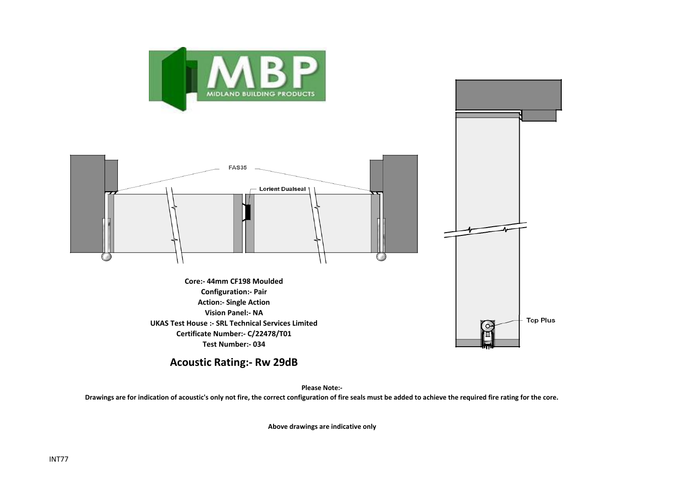



**Acoustic Rating:- Rw 29dB**

**Test Number:- 034**

**Please Note:-** 

**Drawings are for indication of acoustic's only not fire, the correct configuration of fire seals must be added to achieve the required fire rating for the core.**

**Above drawings are indicative only**